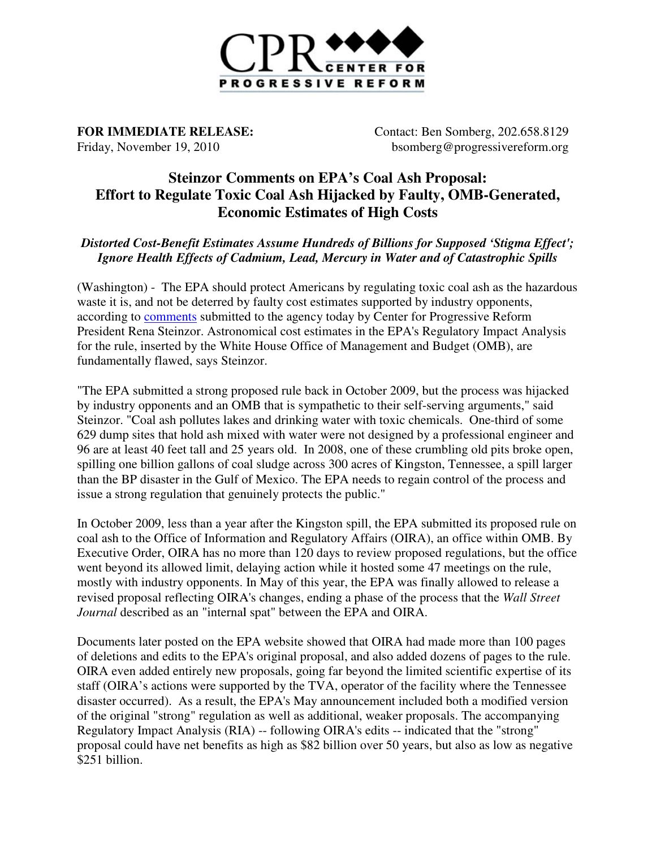

**FOR IMMEDIATE RELEASE** Friday, November 19, 2010

**ELEASE:** Contact: Ben Somberg, 202.658.8129 bsomberg@progressivereform.org bsomberg@progressivereform.org

## **Steinzor Comments on EPA's Coal Ash Proposal: Effort to Regulate Toxic Coal Ash Hijacked by Faulty, OMB-Generated,**<br>Effort to Regulate Toxic Coal Ash Hijacked by Faulty, OMB-Generated, **Economic Estimates of High Costs**

*Distorted Cost-Benefit Estimates Assume Hundreds of Billions for Supposed 'Stigma Effect';* Ignore Health Effects of Cadmium, Lead, Mercury in Water and of Catastrophic Spills

(Washington) - The EPA should protect Americans by regulating toxic coal ash as the hazardous (Washington) - The EPA should protect Americans by regulating toxic coal ash as the has waste it is, and not be deterred by faulty cost estimates supported by industry opponents, according to **comments** submitted to the agency today by Center for Progressive Reform President Rena Steinzor. Astronomical cost estimates in the EPA's Regulatory Impact Analysis for the rule, inserted by the White House Office of Management and Budget (OMB), are fundamentally flawed, says Steinzor Steinzor.

"The EPA submitted a strong proposed rule back in October 2009, but the process was hijacked by industry opponents and an OMB that is sympathetic to their self-serving arguments," said Steinzor. "Coal ash pollutes lakes and drinking water with toxic chemicals. One-third of some 629 dump sites that hold ash mixed with water were not designed by a professional engineer and 96 are at least 40 feet tall and 25 years old. In 2008, one of these crumbling old pits broke open, spilling one billion gallons of coal sludge across 300 acres of Kingston, Tennessee, a spill larger than the BP disaster in the Gulf of Mexico. The EPA needs to regain control of the process and issue a strong regulation that genuinely protects the public." professional engineer and<br>hese crumbling old pits broke open,<br>Kingston, Tennessee, a spill larger<br>regain control of the process and<br>EPA submitted its proposed rule on

In October 2009, less than a year after the Kingston spill, the EPA submitted its coal ash to the Office of Information and Regulatory Affairs (OIRA), an office within OMB. By Executive Order, OIRA has no more than 120 days to review proposed regulations, but the office went beyond its allowed limit, delaying action while it hosted some 47 meetings on the rule, mostly with industry opponents. In May of this year, the EPA was finally allowed to release a revised proposal reflecting OIRA's changes, ending a phase of the process that the Wall Street Journal described as an "internal spat" between the EPA and OIRA.

Documents later posted on the EPA website showed that OIRA had made more than 100 pages Documents later posted on the EPA website showed that OIRA had made more than 100 pages of deletions and edits to the EPA's original proposal, and also added dozens of pages to the rule. OIRA even added entirely new proposals, going far beyond the limited scientific expertise of its staff (OIRA's actions were supported by the TVA, operator of the facility where the Tennessee disaster occurred). As a result, the EPA's May announcement included both a modified version of the original "strong" regulation as well as additional, weaker proposals. The accompanying Regulatory Impact Analysis (RIA) -- following OIRA's edits -- indicated that the " proposal could have net benefits as high as \$82 billion over 50 years, but also as low as negative \$251 billion. ientific expertise of i<br>where the Tennessee<br>oth a modified versio<br>The accompanying<br>that the "strong"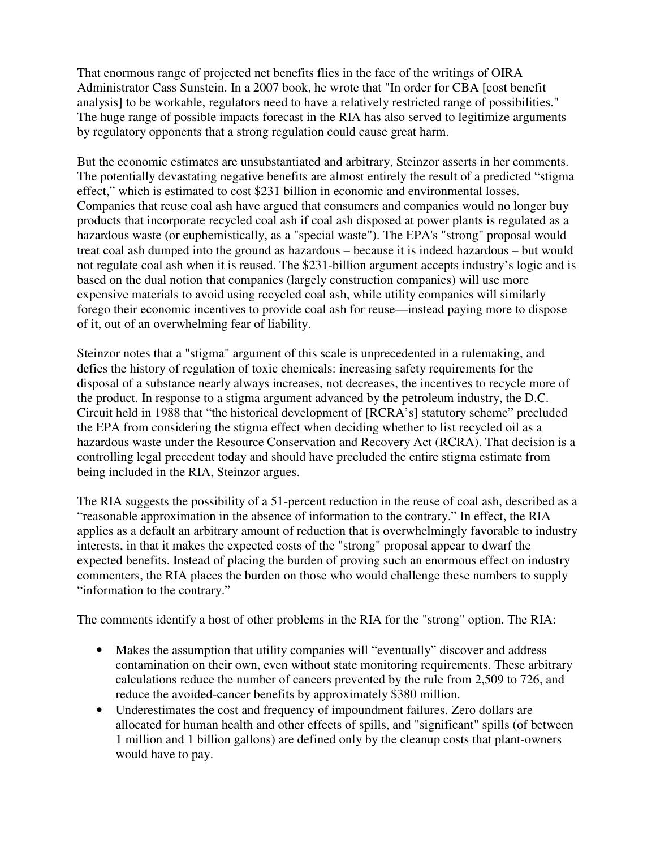That enormous range of projected net benefits flies in the face of the writings of OIRA Administrator Cass Sunstein. In a 2007 book, he wrote that "In order for CBA [cost benefit analysis] to be workable, regulators need to have a relatively restricted range of possibilities." The huge range of possible impacts forecast in the RIA has also served to legitimize arguments by regulatory opponents that a strong regulation could cause great harm.

But the economic estimates are unsubstantiated and arbitrary, Steinzor asserts in her comments. The potentially devastating negative benefits are almost entirely the result of a predicted "stigma effect," which is estimated to cost \$231 billion in economic and environmental losses. Companies that reuse coal ash have argued that consumers and companies would no longer buy products that incorporate recycled coal ash if coal ash disposed at power plants is regulated as a hazardous waste (or euphemistically, as a "special waste"). The EPA's "strong" proposal would treat coal ash dumped into the ground as hazardous – because it is indeed hazardous – but would not regulate coal ash when it is reused. The \$231-billion argument accepts industry's logic and is based on the dual notion that companies (largely construction companies) will use more expensive materials to avoid using recycled coal ash, while utility companies will similarly forego their economic incentives to provide coal ash for reuse—instead paying more to dispose of it, out of an overwhelming fear of liability.

Steinzor notes that a "stigma" argument of this scale is unprecedented in a rulemaking, and defies the history of regulation of toxic chemicals: increasing safety requirements for the disposal of a substance nearly always increases, not decreases, the incentives to recycle more of the product. In response to a stigma argument advanced by the petroleum industry, the D.C. Circuit held in 1988 that "the historical development of [RCRA's] statutory scheme" precluded the EPA from considering the stigma effect when deciding whether to list recycled oil as a hazardous waste under the Resource Conservation and Recovery Act (RCRA). That decision is a controlling legal precedent today and should have precluded the entire stigma estimate from being included in the RIA, Steinzor argues.

The RIA suggests the possibility of a 51-percent reduction in the reuse of coal ash, described as a "reasonable approximation in the absence of information to the contrary." In effect, the RIA applies as a default an arbitrary amount of reduction that is overwhelmingly favorable to industry interests, in that it makes the expected costs of the "strong" proposal appear to dwarf the expected benefits. Instead of placing the burden of proving such an enormous effect on industry commenters, the RIA places the burden on those who would challenge these numbers to supply "information to the contrary."

The comments identify a host of other problems in the RIA for the "strong" option. The RIA:

- Makes the assumption that utility companies will "eventually" discover and address contamination on their own, even without state monitoring requirements. These arbitrary calculations reduce the number of cancers prevented by the rule from 2,509 to 726, and reduce the avoided-cancer benefits by approximately \$380 million.
- Underestimates the cost and frequency of impoundment failures. Zero dollars are allocated for human health and other effects of spills, and "significant" spills (of between 1 million and 1 billion gallons) are defined only by the cleanup costs that plant-owners would have to pay.